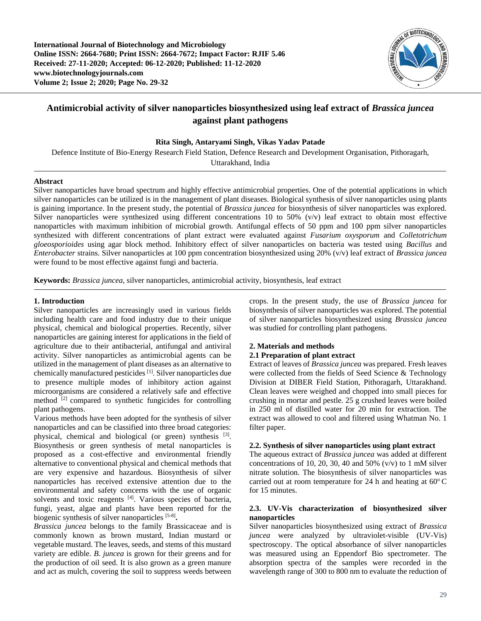**International Journal of Biotechnology and Microbiology Online ISSN: 2664-7680; Print ISSN: 2664-7672; Impact Factor: RJIF 5.46 Received: 27-11-2020; Accepted: 06-12-2020; Published: 11-12-2020 www.biotechnologyjournals.com Volume 2; Issue 2; 2020; Page No. 29-32**



# **Antimicrobial activity of silver nanoparticles biosynthesized using leaf extract of** *Brassica juncea*  **against plant pathogens**

## **Rita Singh, Antaryami Singh, Vikas Yadav Patade**

Defence Institute of Bio-Energy Research Field Station, Defence Research and Development Organisation, Pithoragarh, Uttarakhand, India

## **Abstract**

Silver nanoparticles have broad spectrum and highly effective antimicrobial properties. One of the potential applications in which silver nanoparticles can be utilized is in the management of plant diseases. Biological synthesis of silver nanoparticles using plants is gaining importance. In the present study, the potential of *Brassica juncea* for biosynthesis of silver nanoparticles was explored. Silver nanoparticles were synthesized using different concentrations 10 to 50% ( $v/v$ ) leaf extract to obtain most effective nanoparticles with maximum inhibition of microbial growth. Antifungal effects of 50 ppm and 100 ppm silver nanoparticles synthesized with different concentrations of plant extract were evaluated against *Fusarium oxysporum* and *Colletotrichum gloeosporioides* using agar block method. Inhibitory effect of silver nanoparticles on bacteria was tested using *Bacillus* and *Enterobacter* strains. Silver nanoparticles at 100 ppm concentration biosynthesized using 20% (v/v) leaf extract of *Brassica juncea* were found to be most effective against fungi and bacteria.

**Keywords:** *Brassica juncea,* silver nanoparticles, antimicrobial activity, biosynthesis, leaf extract

### **1. Introduction**

Silver nanoparticles are increasingly used in various fields including health care and food industry due to their unique physical, chemical and biological properties. Recently, silver nanoparticles are gaining interest for applications in the field of agriculture due to their antibacterial, antifungal and antiviral activity. Silver nanoparticles as antimicrobial agents can be utilized in the management of plant diseases as an alternative to chemically manufactured pesticides [1]. Silver nanoparticles due to presence multiple modes of inhibitory action against microorganisms are considered a relatively safe and effective method [2] compared to synthetic fungicides for controlling plant pathogens.

Various methods have been adopted for the synthesis of silver nanoparticles and can be classified into three broad categories: physical, chemical and biological (or green) synthesis <sup>[3]</sup>. Biosynthesis or green synthesis of metal nanoparticles is proposed as a cost-effective and environmental friendly alternative to conventional physical and chemical methods that are very expensive and hazardous. Biosynthesis of silver nanoparticles has received extensive attention due to the environmental and safety concerns with the use of organic solvents and toxic reagents [4]. Various species of bacteria, fungi, yeast, algae and plants have been reported for the biogenic synthesis of silver nanoparticles [5-8] **.**

*Brassica juncea* belongs to the family Brassicaceae and is commonly known as brown mustard, Indian mustard or vegetable mustard. The leaves, seeds, and stems of this mustard variety are edible. *B. juncea* is grown for their greens and for the production of oil seed. It is also grown as a green manure and act as mulch, covering the soil to suppress weeds between crops. In the present study, the use of *Brassica juncea* for biosynthesis of silver nanoparticles was explored. The potential of silver nanoparticles biosynthesized using *Brassica juncea* was studied for controlling plant pathogens.

## **2. Materials and methods**

## **2.1 Preparation of plant extract**

Extract of leaves of *Brassica juncea* was prepared. Fresh leaves were collected from the fields of Seed Science & Technology Division at DIBER Field Station, Pithoragarh, Uttarakhand. Clean leaves were weighed and chopped into small pieces for crushing in mortar and pestle. 25 g crushed leaves were boiled in 250 ml of distilled water for 20 min for extraction. The extract was allowed to cool and filtered using Whatman No. 1 filter paper.

## **2.2. Synthesis of silver nanoparticles using plant extract**

The aqueous extract of *Brassica juncea* was added at different concentrations of 10, 20, 30, 40 and 50%  $(v/v)$  to 1 mM silver nitrate solution. The biosynthesis of silver nanoparticles was carried out at room temperature for 24 h and heating at  $60^{\circ}$ C for 15 minutes.

# **2.3. UV-Vis characterization of biosynthesized silver nanoparticles**

Silver nanoparticles biosynthesized using extract of *Brassica juncea* were analyzed by ultraviolet-visible (UV-Vis) spectroscopy. The optical absorbance of silver nanoparticles was measured using an Eppendorf Bio spectrometer. The absorption spectra of the samples were recorded in the wavelength range of 300 to 800 nm to evaluate the reduction of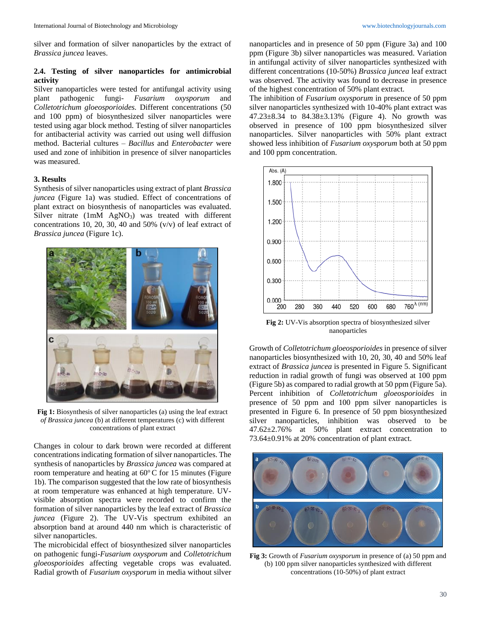silver and formation of silver nanoparticles by the extract of *Brassica juncea* leaves.

## **2.4. Testing of silver nanoparticles for antimicrobial activity**

Silver nanoparticles were tested for antifungal activity using plant pathogenic fungi- *Fusarium oxysporum* and *Colletotrichum gloeosporioides.* Different concentrations (50 and 100 ppm) of biosynthesized silver nanoparticles were tested using agar block method. Testing of silver nanoparticles for antibacterial activity was carried out using well diffusion method. Bacterial cultures – *Bacillus* and *Enterobacter* were used and zone of inhibition in presence of silver nanoparticles was measured.

#### **3. Results**

Synthesis of silver nanoparticles using extract of plant *Brassica juncea* (Figure 1a) was studied. Effect of concentrations of plant extract on biosynthesis of nanoparticles was evaluated. Silver nitrate (1mM AgNO<sub>3</sub>) was treated with different concentrations 10, 20, 30, 40 and 50% (v/v) of leaf extract of *Brassica juncea* (Figure 1c).



**Fig 1:** Biosynthesis of silver nanoparticles (a) using the leaf extract *of Brassica juncea* (b) at different temperatures (c) with different concentrations of plant extract

Changes in colour to dark brown were recorded at different concentrations indicating formation of silver nanoparticles. The synthesis of nanoparticles by *Brassica juncea* was compared at room temperature and heating at  $60^{\circ}$ C for 15 minutes (Figure 1b). The comparison suggested that the low rate of biosynthesis at room temperature was enhanced at high temperature. UVvisible absorption spectra were recorded to confirm the formation of silver nanoparticles by the leaf extract of *Brassica juncea* (Figure 2). The UV-Vis spectrum exhibited an absorption band at around 440 nm which is characteristic of silver nanoparticles.

The microbicidal effect of biosynthesized silver nanoparticles on pathogenic fungi-*Fusarium oxysporum* and *Colletotrichum gloeosporioides* affecting vegetable crops was evaluated. Radial growth of *Fusarium oxysporum* in media without silver

nanoparticles and in presence of 50 ppm (Figure 3a) and 100 ppm (Figure 3b) silver nanoparticles was measured. Variation in antifungal activity of silver nanoparticles synthesized with different concentrations (10-50%) *Brassica juncea* leaf extract was observed. The activity was found to decrease in presence of the highest concentration of 50% plant extract.

The inhibition of *Fusarium oxysporum* in presence of 50 ppm silver nanoparticles synthesized with 10-40% plant extract was 47.23±8.34 to 84.38±3.13% (Figure 4). No growth was observed in presence of 100 ppm biosynthesized silver nanoparticles. Silver nanoparticles with 50% plant extract showed less inhibition of *Fusarium oxysporum* both at 50 ppm and 100 ppm concentration.



**Fig 2:** UV-Vis absorption spectra of biosynthesized silver nanoparticles

Growth of *Colletotrichum gloeosporioides* in presence of silver nanoparticles biosynthesized with 10, 20, 30, 40 and 50% leaf extract of *Brassica juncea* is presented in Figure 5. Significant reduction in radial growth of fungi was observed at 100 ppm (Figure 5b) as compared to radial growth at 50 ppm (Figure 5a). Percent inhibition of *Colletotrichum gloeosporioides* in presence of 50 ppm and 100 ppm silver nanoparticles is presented in Figure 6. In presence of 50 ppm biosynthesized silver nanoparticles, inhibition was observed to be 47.62±2.76% at 50% plant extract concentration to 73.64±0.91% at 20% concentration of plant extract.



**Fig 3:** Growth of *Fusarium oxysporum* in presence of (a) 50 ppm and (b) 100 ppm silver nanoparticles synthesized with different concentrations (10-50%) of plant extract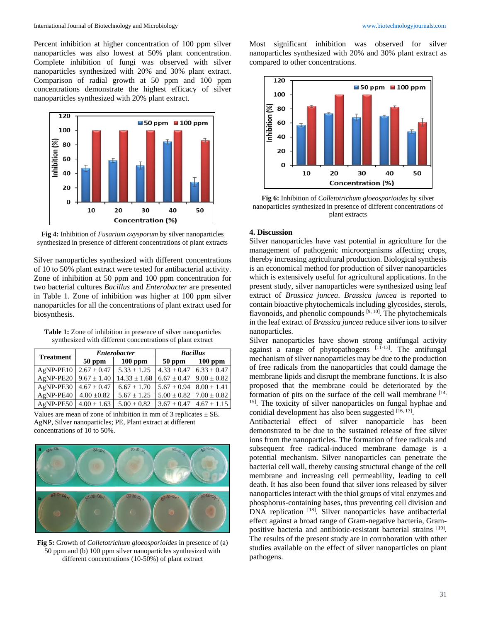Percent inhibition at higher concentration of 100 ppm silver nanoparticles was also lowest at 50% plant concentration. Complete inhibition of fungi was observed with silver nanoparticles synthesized with 20% and 30% plant extract. Comparison of radial growth at 50 ppm and 100 ppm concentrations demonstrate the highest efficacy of silver nanoparticles synthesized with 20% plant extract.



**Fig 4:** Inhibition of *Fusarium oxysporum* by silver nanoparticles synthesized in presence of different concentrations of plant extracts

Silver nanoparticles synthesized with different concentrations of 10 to 50% plant extract were tested for antibacterial activity. Zone of inhibition at 50 ppm and 100 ppm concentration for two bacterial cultures *Bacillus* and *Enterobacter* are presented in Table 1. Zone of inhibition was higher at 100 ppm silver nanoparticles for all the concentrations of plant extract used for biosynthesis.

**Table 1:** Zone of inhibition in presence of silver nanoparticles synthesized with different concentrations of plant extract

| <b>Treatment</b> | <b>Enterobacter</b> |                  | <b>Bacillus</b>                   |                  |
|------------------|---------------------|------------------|-----------------------------------|------------------|
|                  | $50$ ppm            | $100$ ppm        | $50$ ppm                          | $100$ ppm        |
| AgNP-PE10        | $2.67 \pm 0.47$     | $5.33 \pm 1.25$  | $4.33 \pm 0.47$                   | $6.33 \pm 0.47$  |
| AgNP-PE20        | $9.67 \pm 1.40$     | $14.33 \pm 1.68$ | $6.67 + 0.47$                     | $9.00 \pm 0.82$  |
| AgNP-PE30        | $4.67 \pm 0.47$     | $6.67 \pm 1.70$  | $5.67 \pm 0.94$                   | $8.00 \pm 1.41$  |
| AgNP-PE40        | $4.00 \pm 0.82$     | $5.67 \pm 1.25$  | $5.00 \pm 0.82$   $7.00 \pm 0.82$ |                  |
| AgNP-PE50        | $4.00 \pm 1.63$     | $5.00 \pm 0.82$  | $3.67 \pm 0.47$                   | $14.67 \pm 1.15$ |





**Fig 5:** Growth of *Colletotrichum gloeosporioides* in presence of (a) 50 ppm and (b) 100 ppm silver nanoparticles synthesized with different concentrations (10-50%) of plant extract

Most significant inhibition was observed for silver nanoparticles synthesized with 20% and 30% plant extract as compared to other concentrations.



**Fig 6:** Inhibition of *Colletotrichum gloeosporioides* by silver nanoparticles synthesized in presence of different concentrations of plant extracts

# **4. Discussion**

Silver nanoparticles have vast potential in agriculture for the management of pathogenic microorganisms affecting crops, thereby increasing agricultural production. Biological synthesis is an economical method for production of silver nanoparticles which is extensively useful for agricultural applications. In the present study, silver nanoparticles were synthesized using leaf extract of *Brassica juncea*. *Brassica juncea* is reported to contain bioactive phytochemicals including glycosides, sterols, flavonoids, and phenolic compounds  $[9, 10]$ . The phytochemicals in the leaf extract of *Brassica juncea* reduce silver ions to silver nanoparticles.

Silver nanoparticles have shown strong antifungal activity against a range of phytopathogens  $[11-13]$ . The antifungal mechanism of silver nanoparticles may be due to the production of free radicals from the nanoparticles that could damage the membrane lipids and disrupt the membrane functions. It is also proposed that the membrane could be deteriorated by the formation of pits on the surface of the cell wall membrane  $[14, 1]$ 15] . The toxicity of silver nanoparticles on fungal hyphae and conidial development has also been suggested [16, 17].

Antibacterial effect of silver nanoparticle has been demonstrated to be due to the sustained release of free silver ions from the nanoparticles. The formation of free radicals and subsequent free radical-induced membrane damage is a potential mechanism. Silver nanoparticles can penetrate the bacterial cell wall, thereby causing structural change of the cell membrane and increasing cell permeability, leading to cell death. It has also been found that silver ions released by silver nanoparticles interact with the thiol groups of vital enzymes and phosphorus-containing bases, thus preventing cell division and DNA replication [18]. Silver nanoparticles have antibacterial effect against a broad range of Gram-negative bacteria, Grampositive bacteria and antibiotic-resistant bacterial strains [19]. The results of the present study are in corroboration with other studies available on the effect of silver nanoparticles on plant pathogens.